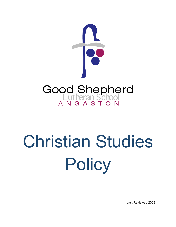

# Christian Studies **Policy**

Last Reviewed 2008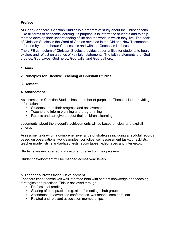# **Preface**

At Good Shepherd, Christian Studies is a program of study about the Christian faith. Like all forms of academic learning, its purpose is to inform the students and to help them to develop their understanding of life and the world in which they live. The basis of Christian Studies is the Word of God as revealed in the Old and New Testaments, informed by the Lutheran Confessions and with the Gospel as its focus.

The LIFE curriculum of Christian Studies provides opportunities for students to hear, explore and reflect on a series of key faith statements. The faith statements are: God creates; God saves; God helps; God calls; and God gathers.

# **1. Aims**

# **2. Principles for Effective Teaching of Christian Studies**

# **3. Content**

# **4. Assessment**

Assessment in Christian Studies has a number of purposes. These include providing information to:

- Students about their progress and achievements
- Teachers to inform planning and programming
- Parents and caregivers about their children's learning

Judgments' about the student's achievements will be based on clear and explicit criteria.

Assessments draw on a comprehensive range of strategies including anecdotal records based on observations, work samples, portfolios, self assessment tasks, checklists, teacher made lists, standardized tests, audio tapes, video tapes and interviews.

Students are encouraged to monitor and reflect on their progress.

Student development will be mapped across year levels.

### **5. Teacher's Professional Development**

Teachers keep themselves well informed both with content knowledge and teaching strategies and practices. This is achieved through;

- Professional reading
- Sharing of best practice e.g. at staff meetings, hub groups
- Attendance at advertised conferences, workshops, seminars, etc
- Related and relevant association memberships.